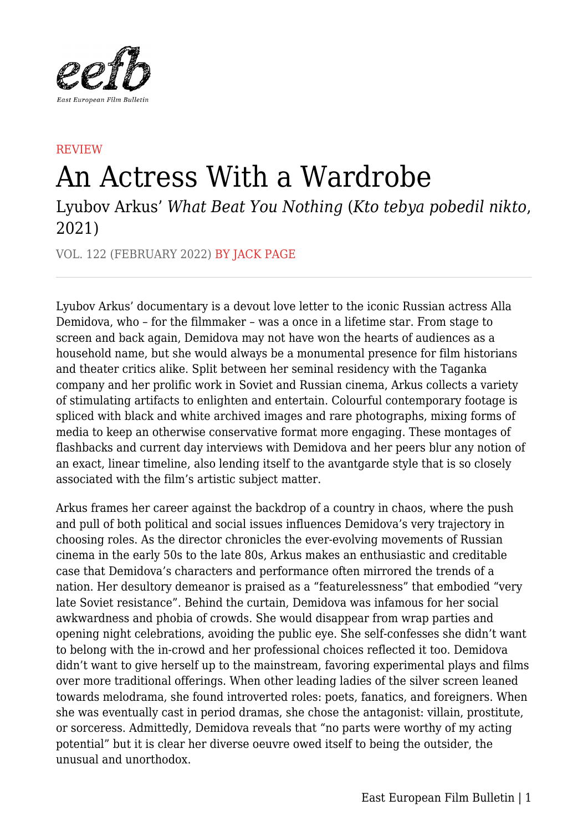

## **REVIEW** An Actress With a Wardrobe

Lyubov Arkus' *What Beat You Nothing* (*Kto tebya pobedil nikto*, 2021)

VOL. 122 (FEBRUARY 2022) BY JACK PAGE

Lyubov Arkus' documentary is a devout love letter to the iconic Russian actress Alla Demidova, who – for the filmmaker – was a once in a lifetime star. From stage to screen and back again, Demidova may not have won the hearts of audiences as a household name, but she would always be a monumental presence for film historians and theater critics alike. Split between her seminal residency with the Taganka company and her prolific work in Soviet and Russian cinema, Arkus collects a variety of stimulating artifacts to enlighten and entertain. Colourful contemporary footage is spliced with black and white archived images and rare photographs, mixing forms of media to keep an otherwise conservative format more engaging. These montages of flashbacks and current day interviews with Demidova and her peers blur any notion of an exact, linear timeline, also lending itself to the avantgarde style that is so closely associated with the film's artistic subject matter.

Arkus frames her career against the backdrop of a country in chaos, where the push and pull of both political and social issues influences Demidova's very trajectory in choosing roles. As the director chronicles the ever-evolving movements of Russian cinema in the early 50s to the late 80s, Arkus makes an enthusiastic and creditable case that Demidova's characters and performance often mirrored the trends of a nation. Her desultory demeanor is praised as a "featurelessness" that embodied "very late Soviet resistance". Behind the curtain, Demidova was infamous for her social awkwardness and phobia of crowds. She would disappear from wrap parties and opening night celebrations, avoiding the public eye. She self-confesses she didn't want to belong with the in-crowd and her professional choices reflected it too. Demidova didn't want to give herself up to the mainstream, favoring experimental plays and films over more traditional offerings. When other leading ladies of the silver screen leaned towards melodrama, she found introverted roles: poets, fanatics, and foreigners. When she was eventually cast in period dramas, she chose the antagonist: villain, prostitute, or sorceress. Admittedly, Demidova reveals that "no parts were worthy of my acting potential" but it is clear her diverse oeuvre owed itself to being the outsider, the unusual and unorthodox.